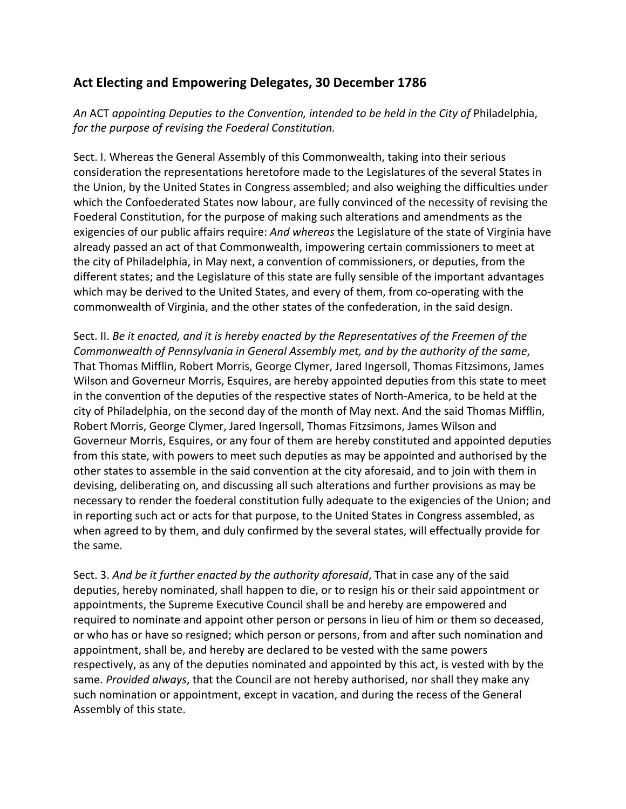## Act Electing and Empowering Delegates, 30 December 1786

An ACT appointing Deputies to the Convention, intended to be held in the City of Philadelphia, for the purpose of revising the Foederal Constitution.

Sect. I. Whereas the General Assembly of this Commonwealth, taking into their serious consideration the representations heretofore made to the Legislatures of the several States in the Union, by the United States in Congress assembled; and also weighing the difficulties under which the Confoederated States now labour, are fully convinced of the necessity of revising the Foederal Constitution, for the purpose of making such alterations and amendments as the exigencies of our public affairs require: And whereas the Legislature of the state of Virginia have already passed an act of that Commonwealth, impowering certain commissioners to meet at the city of Philadelphia, in May next, a convention of commissioners, or deputies, from the different states; and the Legislature of this state are fully sensible of the important advantages which may be derived to the United States, and every of them, from co-operating with the commonwealth of Virginia, and the other states of the confederation, in the said design.

Sect. II. Be it enacted, and it is hereby enacted by the Representatives of the Freemen of the Commonwealth of Pennsylvania in General Assembly met, and by the authority of the same, That Thomas Mifflin, Robert Morris, George Clymer, Jared Ingersoll, Thomas Fitzsimons, James Wilson and Governeur Morris, Esquires, are hereby appointed deputies from this state to meet in the convention of the deputies of the respective states of North-America, to be held at the city of Philadelphia, on the second day of the month of May next. And the said Thomas Mifflin, Robert Morris, George Clymer, Jared Ingersoll, Thomas Fitzsimons, James Wilson and Governeur Morris, Esquires, or any four of them are hereby constituted and appointed deputies from this state, with powers to meet such deputies as may be appointed and authorised by the other states to assemble in the said convention at the city aforesaid, and to join with them in devising, deliberating on, and discussing all such alterations and further provisions as may be necessary to render the foederal constitution fully adequate to the exigencies of the Union; and in reporting such act or acts for that purpose, to the United States in Congress assembled, as when agreed to by them, and duly confirmed by the several states, will effectually provide for the same.

Sect. 3. And be it further enacted by the authority aforesaid, That in case any of the said deputies, hereby nominated, shall happen to die, or to resign his or their said appointment or appointments, the Supreme Executive Council shall be and hereby are empowered and required to nominate and appoint other person or persons in lieu of him or them so deceased, or who has or have so resigned; which person or persons, from and after such nomination and appointment, shall be, and hereby are declared to be vested with the same powers respectively, as any of the deputies nominated and appointed by this act, is vested with by the same. Provided always, that the Council are not hereby authorised, nor shall they make any such nomination or appointment, except in vacation, and during the recess of the General Assembly of this state.